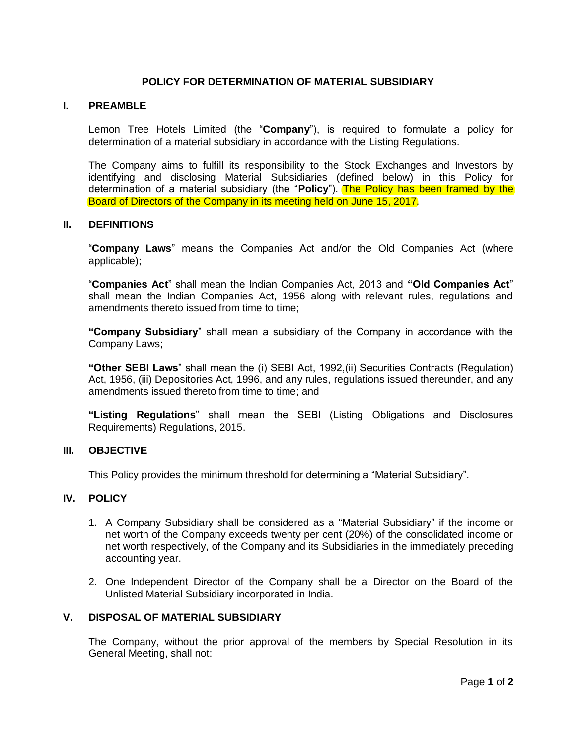## **POLICY FOR DETERMINATION OF MATERIAL SUBSIDIARY**

#### **I. PREAMBLE**

Lemon Tree Hotels Limited (the "**Company**"), is required to formulate a policy for determination of a material subsidiary in accordance with the Listing Regulations.

The Company aims to fulfill its responsibility to the Stock Exchanges and Investors by identifying and disclosing Material Subsidiaries (defined below) in this Policy for determination of a material subsidiary (the "**Policy**"). The Policy has been framed by the Board of Directors of the Company in its meeting held on June 15, 2017.

#### **II. DEFINITIONS**

"**Company Laws**" means the Companies Act and/or the Old Companies Act (where applicable);

"**Companies Act**" shall mean the Indian Companies Act, 2013 and **"Old Companies Act**" shall mean the Indian Companies Act, 1956 along with relevant rules, regulations and amendments thereto issued from time to time:

**"Company Subsidiary**" shall mean a subsidiary of the Company in accordance with the Company Laws;

**"Other SEBI Laws**" shall mean the (i) SEBI Act, 1992,(ii) Securities Contracts (Regulation) Act, 1956, (iii) Depositories Act, 1996, and any rules, regulations issued thereunder, and any amendments issued thereto from time to time; and

**"Listing Regulations**" shall mean the SEBI (Listing Obligations and Disclosures Requirements) Regulations, 2015.

#### **III. OBJECTIVE**

This Policy provides the minimum threshold for determining a "Material Subsidiary".

## **IV. POLICY**

- 1. A Company Subsidiary shall be considered as a "Material Subsidiary" if the income or net worth of the Company exceeds twenty per cent (20%) of the consolidated income or net worth respectively, of the Company and its Subsidiaries in the immediately preceding accounting year.
- 2. One Independent Director of the Company shall be a Director on the Board of the Unlisted Material Subsidiary incorporated in India.

#### **V. DISPOSAL OF MATERIAL SUBSIDIARY**

The Company, without the prior approval of the members by Special Resolution in its General Meeting, shall not: